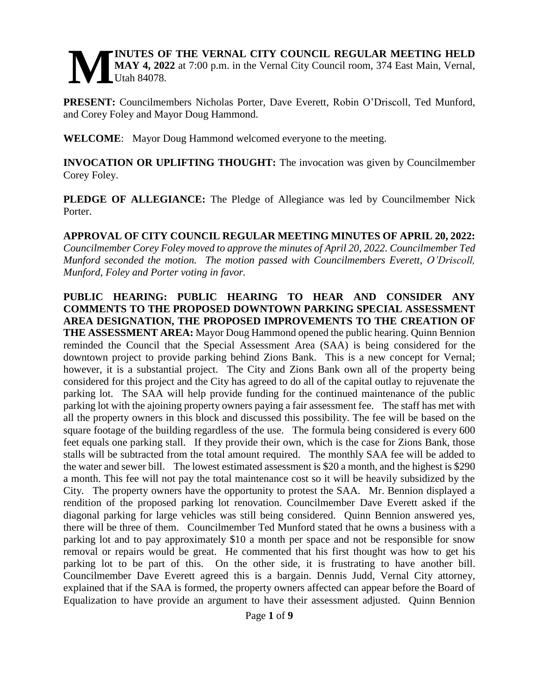#### **INUTES OF THE VERNAL CITY COUNCIL REGULAR MEETING HELD MAY 4, 2022** at 7:00 p.m. in the Vernal City Council room, 374 East Main, Vernal, Utah 84078. **M**

**PRESENT:** Councilmembers Nicholas Porter, Dave Everett, Robin O'Driscoll, Ted Munford, and Corey Foley and Mayor Doug Hammond.

**WELCOME**: Mayor Doug Hammond welcomed everyone to the meeting.

**INVOCATION OR UPLIFTING THOUGHT:** The invocation was given by Councilmember Corey Foley.

**PLEDGE OF ALLEGIANCE:** The Pledge of Allegiance was led by Councilmember Nick Porter.

**APPROVAL OF CITY COUNCIL REGULAR MEETING MINUTES OF APRIL 20, 2022:**  *Councilmember Corey Foley moved to approve the minutes of April 20, 2022. Councilmember Ted Munford seconded the motion. The motion passed with Councilmembers Everett, O'Driscoll, Munford, Foley and Porter voting in favor.*

**PUBLIC HEARING: PUBLIC HEARING TO HEAR AND CONSIDER ANY COMMENTS TO THE PROPOSED DOWNTOWN PARKING SPECIAL ASSESSMENT AREA DESIGNATION, THE PROPOSED IMPROVEMENTS TO THE CREATION OF THE ASSESSMENT AREA:** Mayor Doug Hammond opened the public hearing. Quinn Bennion reminded the Council that the Special Assessment Area (SAA) is being considered for the downtown project to provide parking behind Zions Bank. This is a new concept for Vernal; however, it is a substantial project. The City and Zions Bank own all of the property being considered for this project and the City has agreed to do all of the capital outlay to rejuvenate the parking lot. The SAA will help provide funding for the continued maintenance of the public parking lot with the ajoining property owners paying a fair assessment fee. The staff has met with all the property owners in this block and discussed this possibility. The fee will be based on the square footage of the building regardless of the use. The formula being considered is every 600 feet equals one parking stall. If they provide their own, which is the case for Zions Bank, those stalls will be subtracted from the total amount required. The monthly SAA fee will be added to the water and sewer bill. The lowest estimated assessment is \$20 a month, and the highest is \$290 a month. This fee will not pay the total maintenance cost so it will be heavily subsidized by the City. The property owners have the opportunity to protest the SAA. Mr. Bennion displayed a rendition of the proposed parking lot renovation. Councilmember Dave Everett asked if the diagonal parking for large vehicles was still being considered. Quinn Bennion answered yes, there will be three of them. Councilmember Ted Munford stated that he owns a business with a parking lot and to pay approximately \$10 a month per space and not be responsible for snow removal or repairs would be great. He commented that his first thought was how to get his parking lot to be part of this. On the other side, it is frustrating to have another bill. Councilmember Dave Everett agreed this is a bargain. Dennis Judd, Vernal City attorney, explained that if the SAA is formed, the property owners affected can appear before the Board of Equalization to have provide an argument to have their assessment adjusted. Quinn Bennion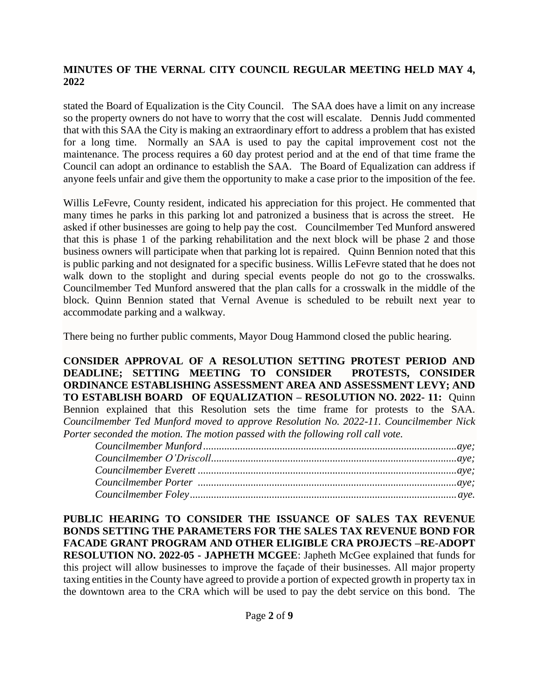stated the Board of Equalization is the City Council. The SAA does have a limit on any increase so the property owners do not have to worry that the cost will escalate. Dennis Judd commented that with this SAA the City is making an extraordinary effort to address a problem that has existed for a long time. Normally an SAA is used to pay the capital improvement cost not the maintenance. The process requires a 60 day protest period and at the end of that time frame the Council can adopt an ordinance to establish the SAA. The Board of Equalization can address if anyone feels unfair and give them the opportunity to make a case prior to the imposition of the fee.

Willis LeFevre, County resident, indicated his appreciation for this project. He commented that many times he parks in this parking lot and patronized a business that is across the street. He asked if other businesses are going to help pay the cost. Councilmember Ted Munford answered that this is phase 1 of the parking rehabilitation and the next block will be phase 2 and those business owners will participate when that parking lot is repaired. Quinn Bennion noted that this is public parking and not designated for a specific business. Willis LeFevre stated that he does not walk down to the stoplight and during special events people do not go to the crosswalks. Councilmember Ted Munford answered that the plan calls for a crosswalk in the middle of the block. Quinn Bennion stated that Vernal Avenue is scheduled to be rebuilt next year to accommodate parking and a walkway.

There being no further public comments, Mayor Doug Hammond closed the public hearing.

**CONSIDER APPROVAL OF A RESOLUTION SETTING PROTEST PERIOD AND DEADLINE; SETTING MEETING TO CONSIDER PROTESTS, CONSIDER ORDINANCE ESTABLISHING ASSESSMENT AREA AND ASSESSMENT LEVY; AND TO ESTABLISH BOARD OF EQUALIZATION – RESOLUTION NO. 2022- 11:** Quinn Bennion explained that this Resolution sets the time frame for protests to the SAA. *Councilmember Ted Munford moved to approve Resolution No. 2022-11. Councilmember Nick Porter seconded the motion. The motion passed with the following roll call vote.* 

| ${Council member\,Munford.\,}\label{Councilmember}\qquad {\bf \textit{Wunford}\,}\qquad \qquad {\bf \textit{Munford}\,}\qquad \qquad {\bf \textit{Munford}\,}\qquad \qquad {\bf \textit{Munford}\,}\qquad \qquad {\bf \textit{Munford}\,}\qquad \qquad {\bf \textit{Munford}\,}\qquad \qquad {\bf \textit{Munford}\,}\qquad {\bf \textit{Munford}\,}\qquad {\bf \textit{Munford}\,}\qquad {\bf \textit{Munford}\,}\qquad {\bf \textit{Munford}\,}\qquad {\bf \textit{Munford}\,}\qquad {\bf \textit{Munford}\$ |  |
|----------------------------------------------------------------------------------------------------------------------------------------------------------------------------------------------------------------------------------------------------------------------------------------------------------------------------------------------------------------------------------------------------------------------------------------------------------------------------------------------------------------|--|
|                                                                                                                                                                                                                                                                                                                                                                                                                                                                                                                |  |
|                                                                                                                                                                                                                                                                                                                                                                                                                                                                                                                |  |
|                                                                                                                                                                                                                                                                                                                                                                                                                                                                                                                |  |
|                                                                                                                                                                                                                                                                                                                                                                                                                                                                                                                |  |

**PUBLIC HEARING TO CONSIDER THE ISSUANCE OF SALES TAX REVENUE BONDS SETTING THE PARAMETERS FOR THE SALES TAX REVENUE BOND FOR FACADE GRANT PROGRAM AND OTHER ELIGIBLE CRA PROJECTS –RE-ADOPT RESOLUTION NO. 2022-05 - JAPHETH MCGEE**: Japheth McGee explained that funds for this project will allow businesses to improve the façade of their businesses. All major property taxing entities in the County have agreed to provide a portion of expected growth in property tax in the downtown area to the CRA which will be used to pay the debt service on this bond. The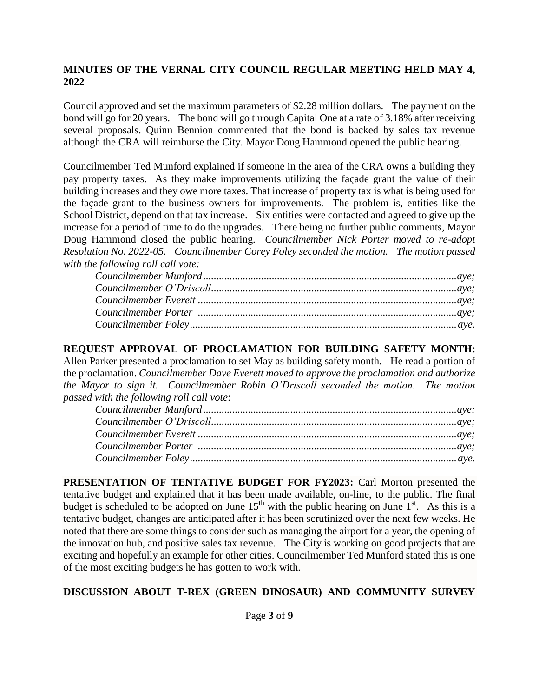Council approved and set the maximum parameters of \$2.28 million dollars. The payment on the bond will go for 20 years. The bond will go through Capital One at a rate of 3.18% after receiving several proposals. Quinn Bennion commented that the bond is backed by sales tax revenue although the CRA will reimburse the City. Mayor Doug Hammond opened the public hearing.

Councilmember Ted Munford explained if someone in the area of the CRA owns a building they pay property taxes. As they make improvements utilizing the façade grant the value of their building increases and they owe more taxes. That increase of property tax is what is being used for the façade grant to the business owners for improvements. The problem is, entities like the School District, depend on that tax increase. Six entities were contacted and agreed to give up the increase for a period of time to do the upgrades. There being no further public comments, Mayor Doug Hammond closed the public hearing. *Councilmember Nick Porter moved to re-adopt Resolution No. 2022-05. Councilmember Corey Foley seconded the motion. The motion passed with the following roll call vote:* 

**REQUEST APPROVAL OF PROCLAMATION FOR BUILDING SAFETY MONTH**: Allen Parker presented a proclamation to set May as building safety month. He read a portion of the proclamation. *Councilmember Dave Everett moved to approve the proclamation and authorize the Mayor to sign it. Councilmember Robin O'Driscoll seconded the motion. The motion passed with the following roll call vote*:

| ${C} \label{C} \emph{c} \emph{c} \emph{c} \emph{u} \emph{m} \emph{c} \emph{m} \emph{e} \emph{r} \emph{c} \emph{b} \emph{c} \emph{c} \emph{c} \emph{u} \emph{c} \emph{c} \emph{d} \emph{y} \emph{e}.$ |  |
|------------------------------------------------------------------------------------------------------------------------------------------------------------------------------------------------------|--|

**PRESENTATION OF TENTATIVE BUDGET FOR FY2023:** Carl Morton presented the tentative budget and explained that it has been made available, on-line, to the public. The final budget is scheduled to be adopted on June  $15<sup>th</sup>$  with the public hearing on June  $1<sup>st</sup>$ . As this is a tentative budget, changes are anticipated after it has been scrutinized over the next few weeks. He noted that there are some things to consider such as managing the airport for a year, the opening of the innovation hub, and positive sales tax revenue. The City is working on good projects that are exciting and hopefully an example for other cities. Councilmember Ted Munford stated this is one of the most exciting budgets he has gotten to work with.

# **DISCUSSION ABOUT T-REX (GREEN DINOSAUR) AND COMMUNITY SURVEY**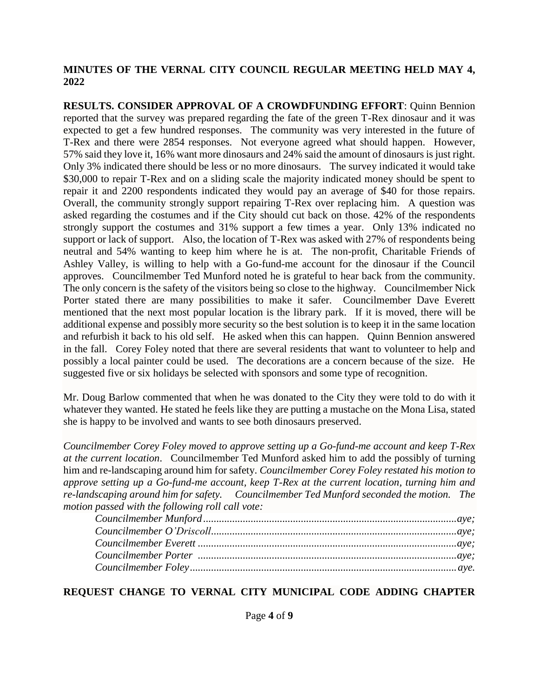**RESULTS. CONSIDER APPROVAL OF A CROWDFUNDING EFFORT**: Quinn Bennion reported that the survey was prepared regarding the fate of the green T-Rex dinosaur and it was expected to get a few hundred responses. The community was very interested in the future of T-Rex and there were 2854 responses. Not everyone agreed what should happen. However, 57% said they love it, 16% want more dinosaurs and 24% said the amount of dinosaurs is just right. Only 3% indicated there should be less or no more dinosaurs. The survey indicated it would take \$30,000 to repair T-Rex and on a sliding scale the majority indicated money should be spent to repair it and 2200 respondents indicated they would pay an average of \$40 for those repairs. Overall, the community strongly support repairing T-Rex over replacing him. A question was asked regarding the costumes and if the City should cut back on those. 42% of the respondents strongly support the costumes and 31% support a few times a year. Only 13% indicated no support or lack of support. Also, the location of T-Rex was asked with 27% of respondents being neutral and 54% wanting to keep him where he is at. The non-profit, Charitable Friends of Ashley Valley, is willing to help with a Go-fund-me account for the dinosaur if the Council approves. Councilmember Ted Munford noted he is grateful to hear back from the community. The only concern is the safety of the visitors being so close to the highway. Councilmember Nick Porter stated there are many possibilities to make it safer. Councilmember Dave Everett mentioned that the next most popular location is the library park. If it is moved, there will be additional expense and possibly more security so the best solution is to keep it in the same location and refurbish it back to his old self. He asked when this can happen. Quinn Bennion answered in the fall. Corey Foley noted that there are several residents that want to volunteer to help and possibly a local painter could be used. The decorations are a concern because of the size. He suggested five or six holidays be selected with sponsors and some type of recognition.

Mr. Doug Barlow commented that when he was donated to the City they were told to do with it whatever they wanted. He stated he feels like they are putting a mustache on the Mona Lisa, stated she is happy to be involved and wants to see both dinosaurs preserved.

*Councilmember Corey Foley moved to approve setting up a Go-fund-me account and keep T-Rex at the current location*. Councilmember Ted Munford asked him to add the possibly of turning him and re-landscaping around him for safety. *Councilmember Corey Foley restated his motion to approve setting up a Go-fund-me account, keep T-Rex at the current location, turning him and re-landscaping around him for safety. Councilmember Ted Munford seconded the motion. The motion passed with the following roll call vote:* 

# **REQUEST CHANGE TO VERNAL CITY MUNICIPAL CODE ADDING CHAPTER**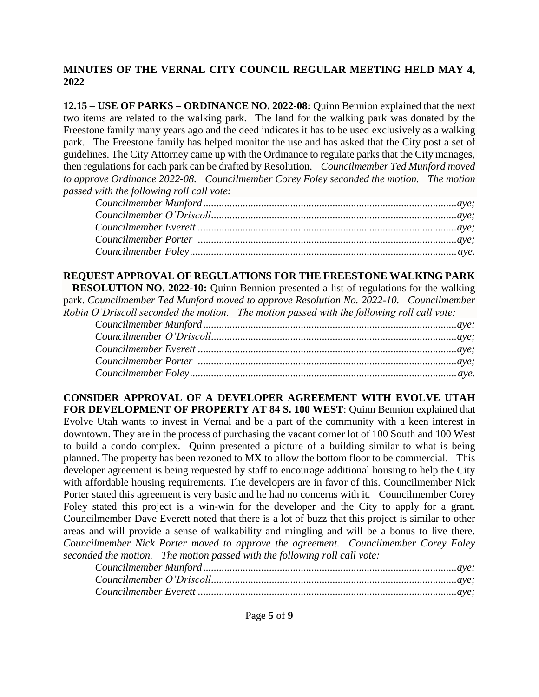**12.15 – USE OF PARKS – ORDINANCE NO. 2022-08:** Quinn Bennion explained that the next two items are related to the walking park. The land for the walking park was donated by the Freestone family many years ago and the deed indicates it has to be used exclusively as a walking park. The Freestone family has helped monitor the use and has asked that the City post a set of guidelines. The City Attorney came up with the Ordinance to regulate parks that the City manages, then regulations for each park can be drafted by Resolution. *Councilmember Ted Munford moved to approve Ordinance 2022-08. Councilmember Corey Foley seconded the motion. The motion passed with the following roll call vote:* 

**REQUEST APPROVAL OF REGULATIONS FOR THE FREESTONE WALKING PARK – RESOLUTION NO. 2022-10:** Quinn Bennion presented a list of regulations for the walking park. *Councilmember Ted Munford moved to approve Resolution No. 2022-10. Councilmember Robin O'Driscoll seconded the motion. The motion passed with the following roll call vote:* 

**CONSIDER APPROVAL OF A DEVELOPER AGREEMENT WITH EVOLVE UTAH FOR DEVELOPMENT OF PROPERTY AT 84 S. 100 WEST**: Quinn Bennion explained that Evolve Utah wants to invest in Vernal and be a part of the community with a keen interest in downtown. They are in the process of purchasing the vacant corner lot of 100 South and 100 West to build a condo complex. Quinn presented a picture of a building similar to what is being planned. The property has been rezoned to MX to allow the bottom floor to be commercial. This developer agreement is being requested by staff to encourage additional housing to help the City with affordable housing requirements. The developers are in favor of this. Councilmember Nick Porter stated this agreement is very basic and he had no concerns with it. Councilmember Corey Foley stated this project is a win-win for the developer and the City to apply for a grant. Councilmember Dave Everett noted that there is a lot of buzz that this project is similar to other areas and will provide a sense of walkability and mingling and will be a bonus to live there. *Councilmember Nick Porter moved to approve the agreement. Councilmember Corey Foley seconded the motion. The motion passed with the following roll call vote:*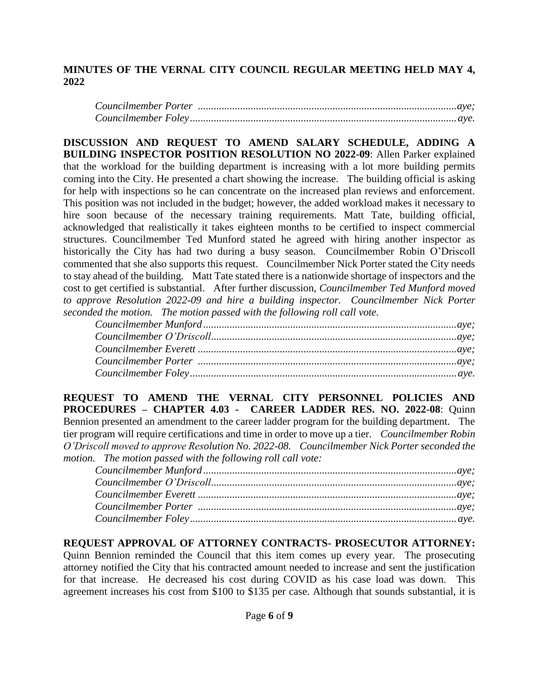*Councilmember Porter ..................................................................................................aye; Councilmember Foley.....................................................................................................aye.*

**DISCUSSION AND REQUEST TO AMEND SALARY SCHEDULE, ADDING A BUILDING INSPECTOR POSITION RESOLUTION NO 2022-09**: Allen Parker explained that the workload for the building department is increasing with a lot more building permits coming into the City. He presented a chart showing the increase. The building official is asking for help with inspections so he can concentrate on the increased plan reviews and enforcement. This position was not included in the budget; however, the added workload makes it necessary to hire soon because of the necessary training requirements. Matt Tate, building official, acknowledged that realistically it takes eighteen months to be certified to inspect commercial structures. Councilmember Ted Munford stated he agreed with hiring another inspector as historically the City has had two during a busy season. Councilmember Robin O'Driscoll commented that she also supports this request. Councilmember Nick Porter stated the City needs to stay ahead of the building. Matt Tate stated there is a nationwide shortage of inspectors and the cost to get certified is substantial. After further discussion, *Councilmember Ted Munford moved to approve Resolution 2022-09 and hire a building inspector. Councilmember Nick Porter seconded the motion. The motion passed with the following roll call vote.*

**REQUEST TO AMEND THE VERNAL CITY PERSONNEL POLICIES AND PROCEDURES – CHAPTER 4.03 - CAREER LADDER RES. NO. 2022-08**: Quinn Bennion presented an amendment to the career ladder program for the building department. The tier program will require certifications and time in order to move up a tier. *Councilmember Robin O'Driscoll moved to approve Resolution No. 2022-08. Councilmember Nick Porter seconded the motion. The motion passed with the following roll call vote:* 

**REQUEST APPROVAL OF ATTORNEY CONTRACTS- PROSECUTOR ATTORNEY:** Quinn Bennion reminded the Council that this item comes up every year. The prosecuting attorney notified the City that his contracted amount needed to increase and sent the justification for that increase. He decreased his cost during COVID as his case load was down. This agreement increases his cost from \$100 to \$135 per case. Although that sounds substantial, it is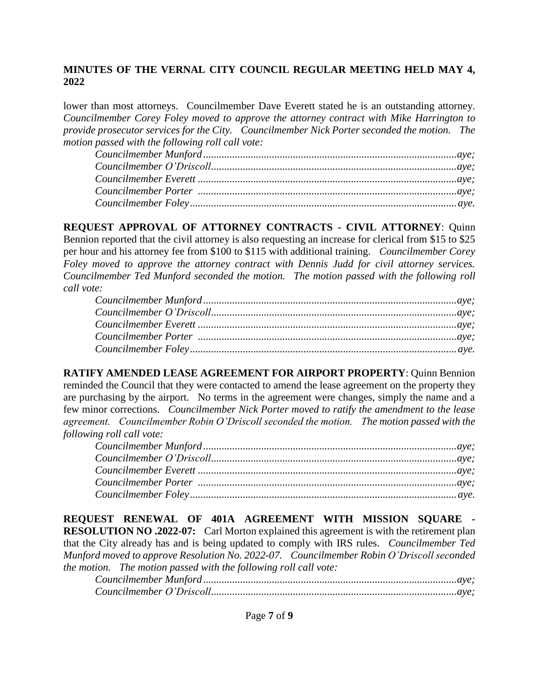lower than most attorneys. Councilmember Dave Everett stated he is an outstanding attorney. *Councilmember Corey Foley moved to approve the attorney contract with Mike Harrington to provide prosecutor services for the City. Councilmember Nick Porter seconded the motion. The motion passed with the following roll call vote:* 

**REQUEST APPROVAL OF ATTORNEY CONTRACTS - CIVIL ATTORNEY**: Quinn Bennion reported that the civil attorney is also requesting an increase for clerical from \$15 to \$25 per hour and his attorney fee from \$100 to \$115 with additional training. *Councilmember Corey Foley moved to approve the attorney contract with Dennis Judd for civil attorney services. Councilmember Ted Munford seconded the motion. The motion passed with the following roll call vote:* 

# **RATIFY AMENDED LEASE AGREEMENT FOR AIRPORT PROPERTY**: Quinn Bennion reminded the Council that they were contacted to amend the lease agreement on the property they are purchasing by the airport. No terms in the agreement were changes, simply the name and a few minor corrections. *Councilmember Nick Porter moved to ratify the amendment to the lease agreement. Councilmember Robin O'Driscoll seconded the motion. The motion passed with the following roll call vote:*

**REQUEST RENEWAL OF 401A AGREEMENT WITH MISSION SQUARE - RESOLUTION NO .2022-07:** Carl Morton explained this agreement is with the retirement plan that the City already has and is being updated to comply with IRS rules. *Councilmember Ted Munford moved to approve Resolution No. 2022-07. Councilmember Robin O'Driscoll seconded the motion. The motion passed with the following roll call vote:*

*Councilmember Munford ................................................................................................aye; Councilmember O'Driscoll.............................................................................................aye;*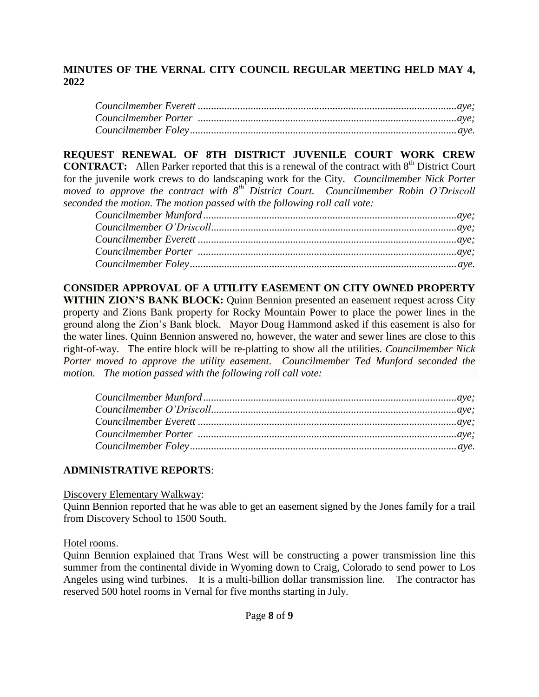#### **REQUEST RENEWAL OF 8TH DISTRICT JUVENILE COURT WORK CREW CONTRACT:** Allen Parker reported that this is a renewal of the contract with 8<sup>th</sup> District Court for the juvenile work crews to do landscaping work for the City. *Councilmember Nick Porter moved to approve the contract with 8th District Court. Councilmember Robin O'Driscoll seconded the motion. The motion passed with the following roll call vote:*

**CONSIDER APPROVAL OF A UTILITY EASEMENT ON CITY OWNED PROPERTY WITHIN ZION'S BANK BLOCK:** Quinn Bennion presented an easement request across City property and Zions Bank property for Rocky Mountain Power to place the power lines in the ground along the Zion's Bank block. Mayor Doug Hammond asked if this easement is also for the water lines. Quinn Bennion answered no, however, the water and sewer lines are close to this right-of-way. The entire block will be re-platting to show all the utilities. *Councilmember Nick Porter moved to approve the utility easement. Councilmember Ted Munford seconded the motion. The motion passed with the following roll call vote:* 

#### **ADMINISTRATIVE REPORTS**:

Discovery Elementary Walkway:

Quinn Bennion reported that he was able to get an easement signed by the Jones family for a trail from Discovery School to 1500 South.

Hotel rooms.

Quinn Bennion explained that Trans West will be constructing a power transmission line this summer from the continental divide in Wyoming down to Craig, Colorado to send power to Los Angeles using wind turbines. It is a multi-billion dollar transmission line. The contractor has reserved 500 hotel rooms in Vernal for five months starting in July.